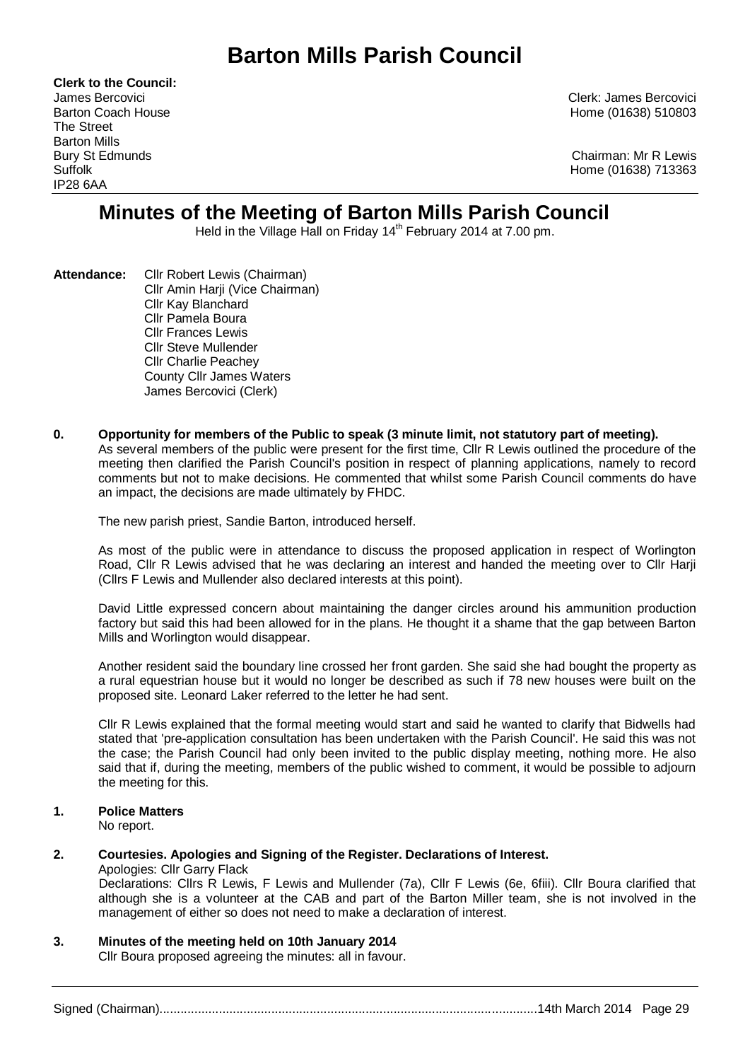# **Barton Mills Parish Council**

**Clerk to the Council:** The Street Barton Mills IP28 6AA

James Bercovici Clerk: James Bercovici Barton Coach House **Home (01638)** 510803

Bury St Edmunds Chairman: Mr R Lewis Suffolk Home (01638) 713363

## **Minutes of the Meeting of Barton Mills Parish Council**

Held in the Village Hall on Friday 14<sup>th</sup> February 2014 at 7.00 pm.

- **Attendance:** Cllr Robert Lewis (Chairman) Cllr Amin Harji (Vice Chairman) Cllr Kay Blanchard Cllr Pamela Boura Cllr Frances Lewis Cllr Steve Mullender Cllr Charlie Peachey County Cllr James Waters James Bercovici (Clerk)
- **0. Opportunity for members of the Public to speak (3 minute limit, not statutory part of meeting).**  As several members of the public were present for the first time, Cllr R Lewis outlined the procedure of the meeting then clarified the Parish Council's position in respect of planning applications, namely to record comments but not to make decisions. He commented that whilst some Parish Council comments do have an impact, the decisions are made ultimately by FHDC.

The new parish priest, Sandie Barton, introduced herself.

As most of the public were in attendance to discuss the proposed application in respect of Worlington Road, Cllr R Lewis advised that he was declaring an interest and handed the meeting over to Cllr Harji (Cllrs F Lewis and Mullender also declared interests at this point).

David Little expressed concern about maintaining the danger circles around his ammunition production factory but said this had been allowed for in the plans. He thought it a shame that the gap between Barton Mills and Worlington would disappear.

Another resident said the boundary line crossed her front garden. She said she had bought the property as a rural equestrian house but it would no longer be described as such if 78 new houses were built on the proposed site. Leonard Laker referred to the letter he had sent.

Cllr R Lewis explained that the formal meeting would start and said he wanted to clarify that Bidwells had stated that 'pre-application consultation has been undertaken with the Parish Council'. He said this was not the case; the Parish Council had only been invited to the public display meeting, nothing more. He also said that if, during the meeting, members of the public wished to comment, it would be possible to adjourn the meeting for this.

## **1. Police Matters**

No report.

## **2. Courtesies. Apologies and Signing of the Register. Declarations of Interest.**

Apologies: Cllr Garry Flack Declarations: Cllrs R Lewis, F Lewis and Mullender (7a), Cllr F Lewis (6e, 6fiii). Cllr Boura clarified that although she is a volunteer at the CAB and part of the Barton Miller team, she is not involved in the management of either so does not need to make a declaration of interest.

## **3. Minutes of the meeting held on 10th January 2014**

Cllr Boura proposed agreeing the minutes: all in favour.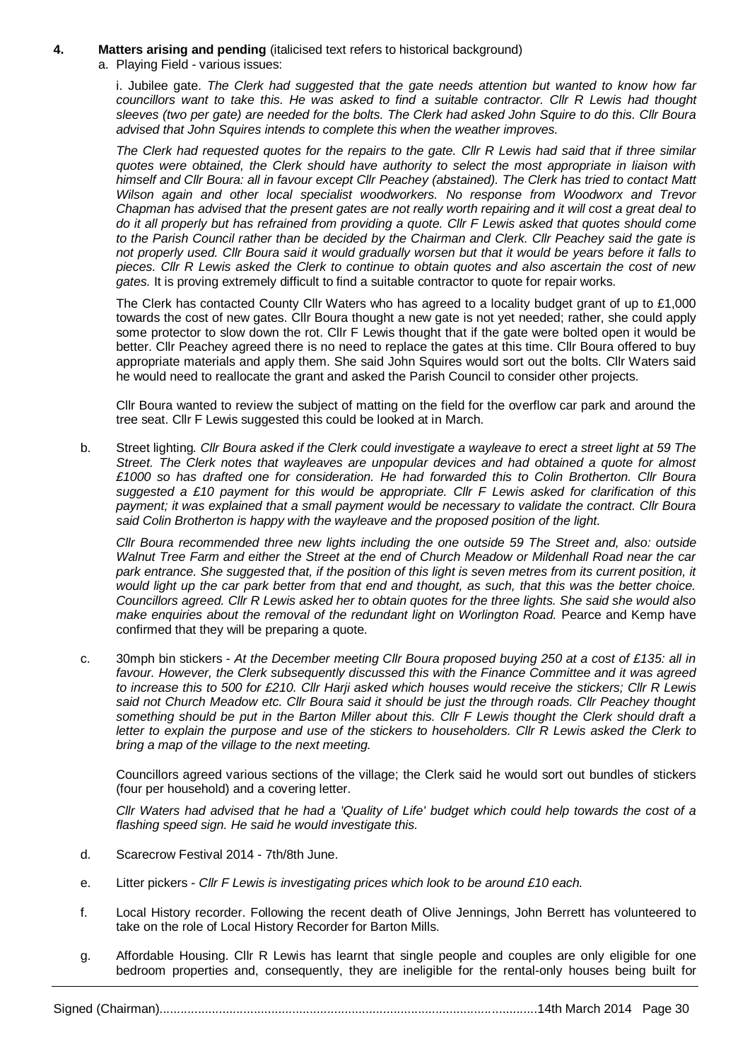#### **4. Matters arising and pending** (italicised text refers to historical background)

a. Playing Field - various issues:

i. Jubilee gate. *The Clerk had suggested that the gate needs attention but wanted to know how far councillors want to take this. He was asked to find a suitable contractor. Cllr R Lewis had thought sleeves (two per gate) are needed for the bolts. The Clerk had asked John Squire to do this. Cllr Boura advised that John Squires intends to complete this when the weather improves.*

*The Clerk had requested quotes for the repairs to the gate. Cllr R Lewis had said that if three similar quotes were obtained, the Clerk should have authority to select the most appropriate in liaison with himself and Cllr Boura: all in favour except Cllr Peachey (abstained). The Clerk has tried to contact Matt Wilson again and other local specialist woodworkers. No response from Woodworx and Trevor Chapman has advised that the present gates are not really worth repairing and it will cost a great deal to do it all properly but has refrained from providing a quote. Cllr F Lewis asked that quotes should come to the Parish Council rather than be decided by the Chairman and Clerk. Cllr Peachey said the gate is not properly used. Cllr Boura said it would gradually worsen but that it would be years before it falls to pieces. Cllr R Lewis asked the Clerk to continue to obtain quotes and also ascertain the cost of new gates.* It is proving extremely difficult to find a suitable contractor to quote for repair works.

The Clerk has contacted County Cllr Waters who has agreed to a locality budget grant of up to £1,000 towards the cost of new gates. Cllr Boura thought a new gate is not yet needed; rather, she could apply some protector to slow down the rot. Cllr F Lewis thought that if the gate were bolted open it would be better. Cllr Peachey agreed there is no need to replace the gates at this time. Cllr Boura offered to buy appropriate materials and apply them. She said John Squires would sort out the bolts. Cllr Waters said he would need to reallocate the grant and asked the Parish Council to consider other projects.

Cllr Boura wanted to review the subject of matting on the field for the overflow car park and around the tree seat. Cllr F Lewis suggested this could be looked at in March.

b. Street lighting*. Cllr Boura asked if the Clerk could investigate a wayleave to erect a street light at 59 The Street. The Clerk notes that wayleaves are unpopular devices and had obtained a quote for almost £1000 so has drafted one for consideration. He had forwarded this to Colin Brotherton. Cllr Boura suggested a £10 payment for this would be appropriate. Cllr F Lewis asked for clarification of this payment; it was explained that a small payment would be necessary to validate the contract. Cllr Boura said Colin Brotherton is happy with the wayleave and the proposed position of the light.*

*Cllr Boura recommended three new lights including the one outside 59 The Street and, also: outside Walnut Tree Farm and either the Street at the end of Church Meadow or Mildenhall Road near the car park entrance. She suggested that, if the position of this light is seven metres from its current position, it would light up the car park better from that end and thought, as such, that this was the better choice. Councillors agreed. Cllr R Lewis asked her to obtain quotes for the three lights. She said she would also make enquiries about the removal of the redundant light on Worlington Road.* Pearce and Kemp have confirmed that they will be preparing a quote.

c. 30mph bin stickers - *At the December meeting Cllr Boura proposed buying 250 at a cost of £135: all in favour. However, the Clerk subsequently discussed this with the Finance Committee and it was agreed to increase this to 500 for £210. Cllr Harji asked which houses would receive the stickers; Cllr R Lewis said not Church Meadow etc. Cllr Boura said it should be just the through roads. Cllr Peachey thought something should be put in the Barton Miller about this. Cllr F Lewis thought the Clerk should draft a letter to explain the purpose and use of the stickers to householders. Cllr R Lewis asked the Clerk to bring a map of the village to the next meeting.*

Councillors agreed various sections of the village; the Clerk said he would sort out bundles of stickers (four per household) and a covering letter.

*Cllr Waters had advised that he had a 'Quality of Life' budget which could help towards the cost of a flashing speed sign. He said he would investigate this.*

- d. Scarecrow Festival 2014 7th/8th June.
- e. Litter pickers *Cllr F Lewis is investigating prices which look to be around £10 each.*
- f. Local History recorder. Following the recent death of Olive Jennings, John Berrett has volunteered to take on the role of Local History Recorder for Barton Mills.
- g. Affordable Housing. Cllr R Lewis has learnt that single people and couples are only eligible for one bedroom properties and, consequently, they are ineligible for the rental-only houses being built for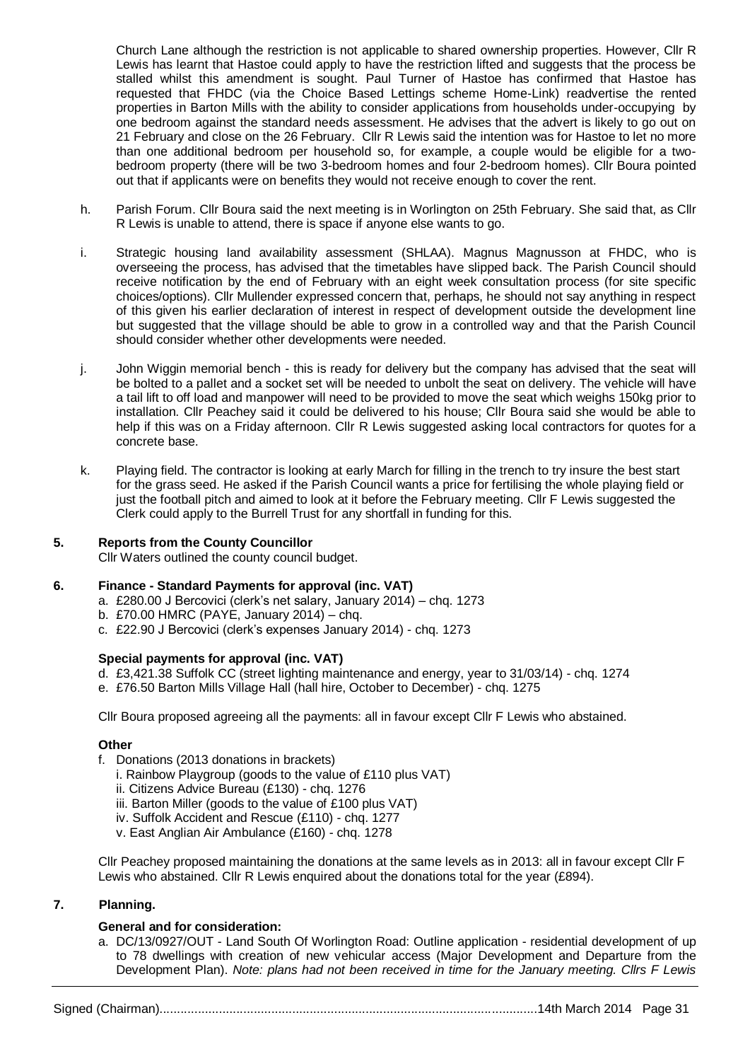Church Lane although the restriction is not applicable to shared ownership properties. However, Cllr R Lewis has learnt that Hastoe could apply to have the restriction lifted and suggests that the process be stalled whilst this amendment is sought. Paul Turner of Hastoe has confirmed that Hastoe has requested that FHDC (via the Choice Based Lettings scheme Home-Link) readvertise the rented properties in Barton Mills with the ability to consider applications from households under-occupying by one bedroom against the standard needs assessment. He advises that the advert is likely to go out on 21 February and close on the 26 February. Cllr R Lewis said the intention was for Hastoe to let no more than one additional bedroom per household so, for example, a couple would be eligible for a twobedroom property (there will be two 3-bedroom homes and four 2-bedroom homes). Cllr Boura pointed out that if applicants were on benefits they would not receive enough to cover the rent.

- h. Parish Forum. Cllr Boura said the next meeting is in Worlington on 25th February. She said that, as Cllr R Lewis is unable to attend, there is space if anyone else wants to go.
- i. [Strategic housing land availability assessment](https://www.gov.uk/government/publications/strategic-housing-land-availability-assessment-practice-guidance) (SHLAA). Magnus Magnusson at FHDC, who is overseeing the process, has advised that the timetables have slipped back. The Parish Council should receive notification by the end of February with an eight week consultation process (for site specific choices/options). Cllr Mullender expressed concern that, perhaps, he should not say anything in respect of this given his earlier declaration of interest in respect of development outside the development line but suggested that the village should be able to grow in a controlled way and that the Parish Council should consider whether other developments were needed.
- j. John Wiggin memorial bench this is ready for delivery but the company has advised that the seat will be bolted to a pallet and a socket set will be needed to unbolt the seat on delivery. The vehicle will have a tail lift to off load and manpower will need to be provided to move the seat which weighs 150kg prior to installation. Cllr Peachey said it could be delivered to his house; Cllr Boura said she would be able to help if this was on a Friday afternoon. Cllr R Lewis suggested asking local contractors for quotes for a concrete base.
- k. Playing field. The contractor is looking at early March for filling in the trench to try insure the best start for the grass seed. He asked if the Parish Council wants a price for fertilising the whole playing field or just the football pitch and aimed to look at it before the February meeting. Cllr F Lewis suggested the Clerk could apply to the Burrell Trust for any shortfall in funding for this.

## **5. Reports from the County Councillor**

Cllr Waters outlined the county council budget.

#### **6. Finance - Standard Payments for approval (inc. VAT)**

- a. £280.00 J Bercovici (clerk's net salary, January 2014) chq. 1273
- b. £70.00 HMRC (PAYE, January 2014) chq.
- c. £22.90 J Bercovici (clerk's expenses January 2014) chq. 1273

#### **Special payments for approval (inc. VAT)**

- d. £3,421.38 Suffolk CC (street lighting maintenance and energy, year to 31/03/14) chq. 1274
- e. £76.50 Barton Mills Village Hall (hall hire, October to December) chq. 1275

Cllr Boura proposed agreeing all the payments: all in favour except Cllr F Lewis who abstained.

#### **Other**

- f. Donations (2013 donations in brackets)
	- i. Rainbow Playgroup (goods to the value of £110 plus VAT)
	- ii. Citizens Advice Bureau (£130) chq. 1276
	- iii. Barton Miller (goods to the value of £100 plus VAT)
	- iv. Suffolk Accident and Rescue (£110) chq. 1277
	- v. East Anglian Air Ambulance (£160) chq. 1278

Cllr Peachey proposed maintaining the donations at the same levels as in 2013: all in favour except Cllr F Lewis who abstained. Cllr R Lewis enquired about the donations total for the year (£894).

## **7. Planning.**

## **General and for consideration:**

a. DC/13/0927/OUT - Land South Of Worlington Road: Outline application - residential development of up to 78 dwellings with creation of new vehicular access (Major Development and Departure from the Development Plan). *Note: plans had not been received in time for the January meeting. Cllrs F Lewis* 

Signed (Chairman)............................................................................................................14th March 2014 Page 31